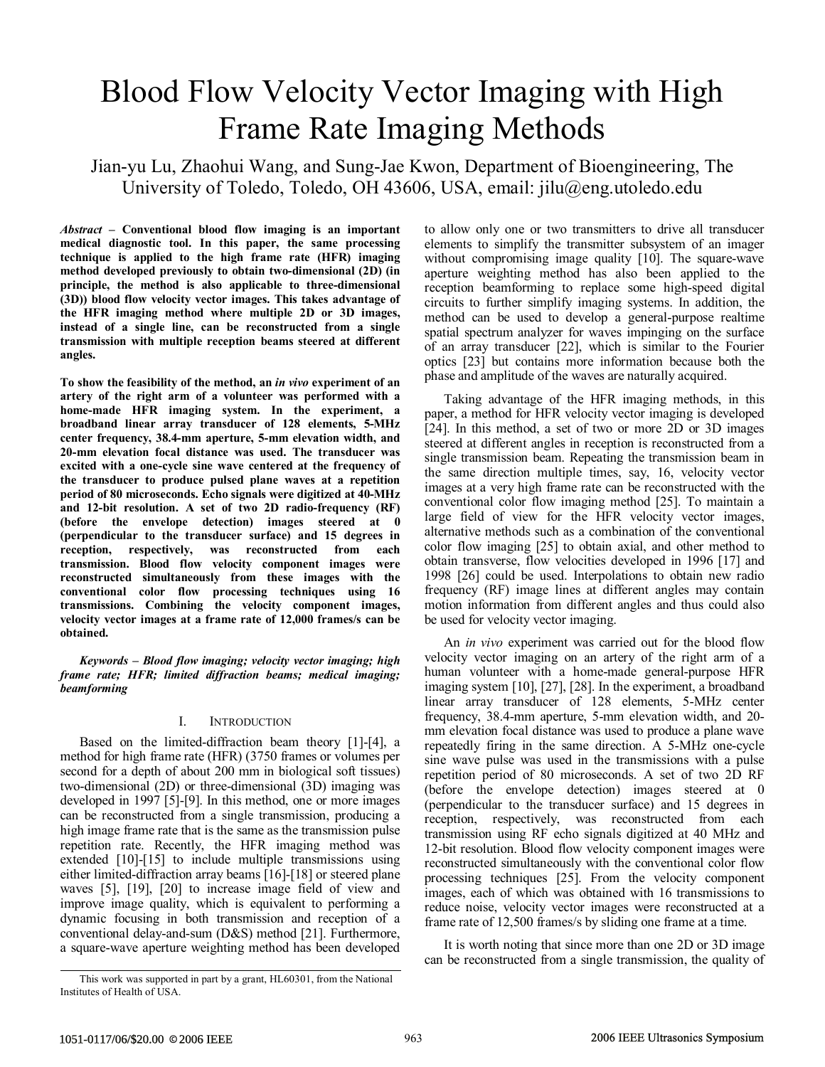# Blood Flow Velocity Vector Imaging with High Frame Rate Imaging Methods

Jian-yu Lu, Zhaohui Wang, and Sung-Jae Kwon, Department of Bioengineering, The University of Toledo, Toledo, OH 43606, USA, email: jilu@eng.utoledo.edu

*Abstract* **– Conventional blood flow imaging is an important medical diagnostic tool. In this paper, the same processing technique is applied to the high frame rate (HFR) imaging method developed previously to obtain two-dimensional (2D) (in principle, the method is also applicable to three-dimensional (3D)) blood flow velocity vector images. This takes advantage of the HFR imaging method where multiple 2D or 3D images, instead of a single line, can be reconstructed from a single transmission with multiple reception beams steered at different angles.** 

**To show the feasibility of the method, an** *in vivo* **experiment of an artery of the right arm of a volunteer was performed with a home-made HFR imaging system. In the experiment, a broadband linear array transducer of 128 elements, 5-MHz center frequency, 38.4-mm aperture, 5-mm elevation width, and 20-mm elevation focal distance was used. The transducer was excited with a one-cycle sine wave centered at the frequency of the transducer to produce pulsed plane waves at a repetition period of 80 microseconds. Echo signals were digitized at 40-MHz and 12-bit resolution. A set of two 2D radio-frequency (RF) (before the envelope detection) images steered at 0 (perpendicular to the transducer surface) and 15 degrees in reception, respectively, was reconstructed from each transmission. Blood flow velocity component images were reconstructed simultaneously from these images with the conventional color flow processing techniques using 16 transmissions. Combining the velocity component images, velocity vector images at a frame rate of 12,000 frames/s can be obtained.** 

*Keywords – Blood flow imaging; velocity vector imaging; high frame rate; HFR; limited diffraction beams; medical imaging; beamforming* 

## I. INTRODUCTION

Based on the limited-diffraction beam theory [1]-[4], a method for high frame rate (HFR) (3750 frames or volumes per second for a depth of about 200 mm in biological soft tissues) two-dimensional (2D) or three-dimensional (3D) imaging was developed in 1997 [5]-[9]. In this method, one or more images can be reconstructed from a single transmission, producing a high image frame rate that is the same as the transmission pulse repetition rate. Recently, the HFR imaging method was extended [10]-[15] to include multiple transmissions using either limited-diffraction array beams [16]-[18] or steered plane waves [5], [19], [20] to increase image field of view and improve image quality, which is equivalent to performing a dynamic focusing in both transmission and reception of a conventional delay-and-sum (D&S) method [21]. Furthermore, a square-wave aperture weighting method has been developed

to allow only one or two transmitters to drive all transducer elements to simplify the transmitter subsystem of an imager without compromising image quality [10]. The square-wave aperture weighting method has also been applied to the reception beamforming to replace some high-speed digital circuits to further simplify imaging systems. In addition, the method can be used to develop a general-purpose realtime spatial spectrum analyzer for waves impinging on the surface of an array transducer [22], which is similar to the Fourier optics [23] but contains more information because both the phase and amplitude of the waves are naturally acquired.

Taking advantage of the HFR imaging methods, in this paper, a method for HFR velocity vector imaging is developed [24]. In this method, a set of two or more 2D or 3D images steered at different angles in reception is reconstructed from a single transmission beam. Repeating the transmission beam in the same direction multiple times, say, 16, velocity vector images at a very high frame rate can be reconstructed with the conventional color flow imaging method [25]. To maintain a large field of view for the HFR velocity vector images, alternative methods such as a combination of the conventional color flow imaging [25] to obtain axial, and other method to obtain transverse, flow velocities developed in 1996 [17] and 1998 [26] could be used. Interpolations to obtain new radio frequency (RF) image lines at different angles may contain motion information from different angles and thus could also be used for velocity vector imaging.

An *in vivo* experiment was carried out for the blood flow velocity vector imaging on an artery of the right arm of a human volunteer with a home-made general-purpose HFR imaging system [10], [27], [28]. In the experiment, a broadband linear array transducer of 128 elements, 5-MHz center frequency, 38.4-mm aperture, 5-mm elevation width, and 20 mm elevation focal distance was used to produce a plane wave repeatedly firing in the same direction. A 5-MHz one-cycle sine wave pulse was used in the transmissions with a pulse repetition period of 80 microseconds. A set of two 2D RF (before the envelope detection) images steered at 0 (perpendicular to the transducer surface) and 15 degrees in reception, respectively, was reconstructed from each transmission using RF echo signals digitized at 40 MHz and 12-bit resolution. Blood flow velocity component images were reconstructed simultaneously with the conventional color flow processing techniques [25]. From the velocity component images, each of which was obtained with 16 transmissions to reduce noise, velocity vector images were reconstructed at a frame rate of 12,500 frames/s by sliding one frame at a time.

It is worth noting that since more than one 2D or 3D image can be reconstructed from a single transmission, the quality of

This work was supported in part by a grant, HL60301, from the National Institutes of Health of USA.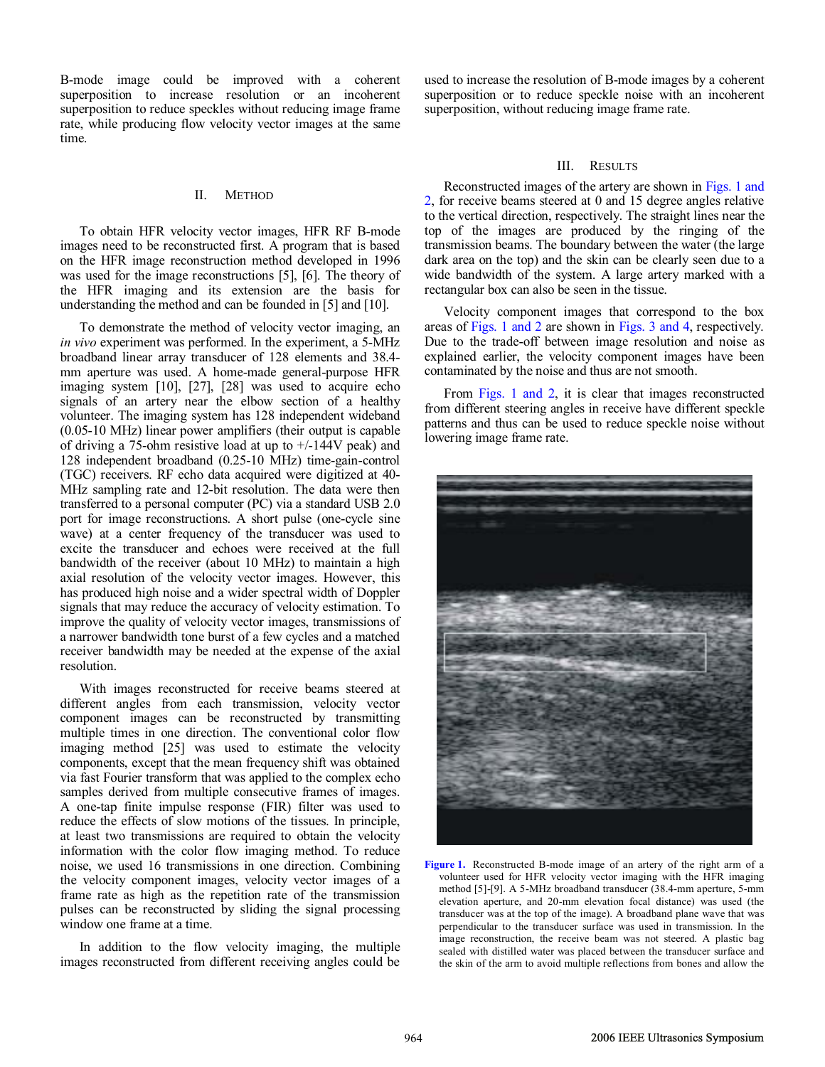B-mode image could be improved with a coherent superposition to increase resolution or an incoherent superposition to reduce speckles without reducing image frame rate, while producing flow velocity vector images at the same time.

#### II. METHOD

To obtain HFR velocity vector images, HFR RF B-mode images need to be reconstructed first. A program that is based on the HFR image reconstruction method developed in 1996 was used for the image reconstructions [5], [6]. The theory of the HFR imaging and its extension are the basis for understanding the method and can be founded in [5] and [10].

To demonstrate the method of velocity vector imaging, an *in vivo* experiment was performed. In the experiment, a 5-MHz broadband linear array transducer of 128 elements and 38.4 mm aperture was used. A home-made general-purpose HFR imaging system [10], [27], [28] was used to acquire echo signals of an artery near the elbow section of a healthy volunteer. The imaging system has 128 independent wideband (0.05-10 MHz) linear power amplifiers (their output is capable of driving a 75-ohm resistive load at up to  $+/-144V$  peak) and 128 independent broadband (0.25-10 MHz) time-gain-control (TGC) receivers. RF echo data acquired were digitized at 40- MHz sampling rate and 12-bit resolution. The data were then transferred to a personal computer (PC) via a standard USB 2.0 port for image reconstructions. A short pulse (one-cycle sine wave) at a center frequency of the transducer was used to excite the transducer and echoes were received at the full bandwidth of the receiver (about 10 MHz) to maintain a high axial resolution of the velocity vector images. However, this has produced high noise and a wider spectral width of Doppler signals that may reduce the accuracy of velocity estimation. To improve the quality of velocity vector images, transmissions of a narrower bandwidth tone burst of a few cycles and a matched receiver bandwidth may be needed at the expense of the axial resolution.

With images reconstructed for receive beams steered at different angles from each transmission, velocity vector component images can be reconstructed by transmitting multiple times in one direction. The conventional color flow imaging method [25] was used to estimate the velocity components, except that the mean frequency shift was obtained via fast Fourier transform that was applied to the complex echo samples derived from multiple consecutive frames of images. A one-tap finite impulse response (FIR) filter was used to reduce the effects of slow motions of the tissues. In principle, at least two transmissions are required to obtain the velocity information with the color flow imaging method. To reduce noise, we used 16 transmissions in one direction. Combining the velocity component images, velocity vector images of a frame rate as high as the repetition rate of the transmission pulses can be reconstructed by sliding the signal processing window one frame at a time.

In addition to the flow velocity imaging, the multiple images reconstructed from different receiving angles could be

used to increase the resolution of B-mode images by a coherent superposition or to reduce speckle noise with an incoherent superposition, without reducing image frame rate.

#### III. RESULTS

Reconstructed images of the artery are shown in Figs. 1 and 2, for receive beams steered at 0 and 15 degree angles relative to the vertical direction, respectively. The straight lines near the top of the images are produced by the ringing of the transmission beams. The boundary between the water (the large dark area on the top) and the skin can be clearly seen due to a wide bandwidth of the system. A large artery marked with a rectangular box can also be seen in the tissue.

Velocity component images that correspond to the box areas of Figs. 1 and 2 are shown in Figs. 3 and 4, respectively. Due to the trade-off between image resolution and noise as explained earlier, the velocity component images have been contaminated by the noise and thus are not smooth.

From Figs. 1 and 2, it is clear that images reconstructed from different steering angles in receive have different speckle patterns and thus can be used to reduce speckle noise without lowering image frame rate.



**Figure 1.** Reconstructed B-mode image of an artery of the right arm of a volunteer used for HFR velocity vector imaging with the HFR imaging method [5]-[9]. A 5-MHz broadband transducer (38.4-mm aperture, 5-mm elevation aperture, and 20-mm elevation focal distance) was used (the transducer was at the top of the image). A broadband plane wave that was perpendicular to the transducer surface was used in transmission. In the image reconstruction, the receive beam was not steered. A plastic bag sealed with distilled water was placed between the transducer surface and the skin of the arm to avoid multiple reflections from bones and allow the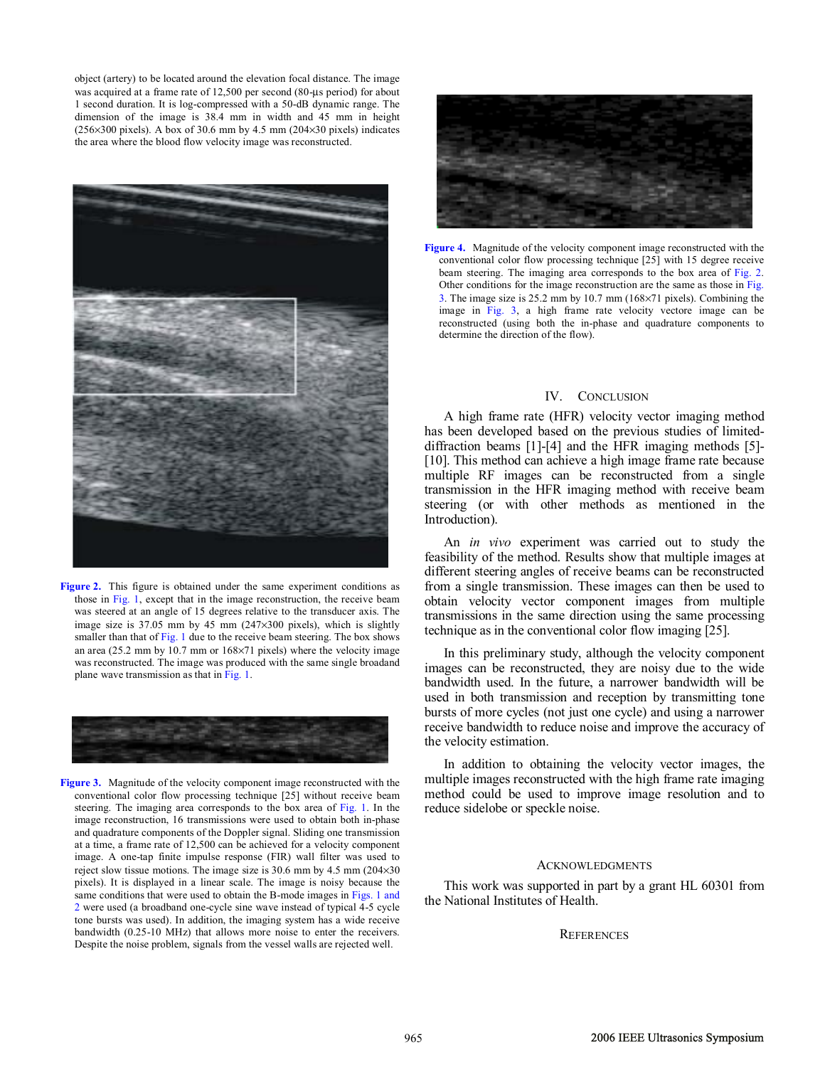object (artery) to be located around the elevation focal distance. The image was acquired at a frame rate of 12,500 per second (80-µs period) for about 1 second duration. It is log-compressed with a 50-dB dynamic range. The dimension of the image is 38.4 mm in width and 45 mm in height  $(256\times300 \text{ pixels})$ . A box of 30.6 mm by 4.5 mm  $(204\times30 \text{ pixels})$  indicates the area where the blood flow velocity image was reconstructed.



Figure 2. This figure is obtained under the same experiment conditions as those in Fig. 1, except that in the image reconstruction, the receive beam was steered at an angle of 15 degrees relative to the transducer axis. The image size is 37.05 mm by 45 mm (247×300 pixels), which is slightly smaller than that of Fig. 1 due to the receive beam steering. The box shows an area (25.2 mm by 10.7 mm or 168×71 pixels) where the velocity image was reconstructed. The image was produced with the same single broadand plane wave transmission as that in Fig. 1.



**Figure 3.** Magnitude of the velocity component image reconstructed with the conventional color flow processing technique [25] without receive beam steering. The imaging area corresponds to the box area of Fig. 1. In the image reconstruction, 16 transmissions were used to obtain both in-phase and quadrature components of the Doppler signal. Sliding one transmission at a time, a frame rate of 12,500 can be achieved for a velocity component image. A one-tap finite impulse response (FIR) wall filter was used to reject slow tissue motions. The image size is  $30.6$  mm by  $4.5$  mm  $(204 \times 30)$ pixels). It is displayed in a linear scale. The image is noisy because the same conditions that were used to obtain the B-mode images in Figs. 1 and 2 were used (a broadband one-cycle sine wave instead of typical 4-5 cycle tone bursts was used). In addition, the imaging system has a wide receive bandwidth (0.25-10 MHz) that allows more noise to enter the receivers. Despite the noise problem, signals from the vessel walls are rejected well.



**Figure 4.** Magnitude of the velocity component image reconstructed with the conventional color flow processing technique [25] with 15 degree receive beam steering. The imaging area corresponds to the box area of Fig. 2. Other conditions for the image reconstruction are the same as those in Fig. 3. The image size is 25.2 mm by 10.7 mm (168×71 pixels). Combining the image in Fig. 3, a high frame rate velocity vectore image can be reconstructed (using both the in-phase and quadrature components to determine the direction of the flow).

### IV. CONCLUSION

A high frame rate (HFR) velocity vector imaging method has been developed based on the previous studies of limiteddiffraction beams [1]-[4] and the HFR imaging methods [5]- [10]. This method can achieve a high image frame rate because multiple RF images can be reconstructed from a single transmission in the HFR imaging method with receive beam steering (or with other methods as mentioned in the Introduction).

An *in vivo* experiment was carried out to study the feasibility of the method. Results show that multiple images at different steering angles of receive beams can be reconstructed from a single transmission. These images can then be used to obtain velocity vector component images from multiple transmissions in the same direction using the same processing technique as in the conventional color flow imaging [25].

In this preliminary study, although the velocity component images can be reconstructed, they are noisy due to the wide bandwidth used. In the future, a narrower bandwidth will be used in both transmission and reception by transmitting tone bursts of more cycles (not just one cycle) and using a narrower receive bandwidth to reduce noise and improve the accuracy of the velocity estimation.

In addition to obtaining the velocity vector images, the multiple images reconstructed with the high frame rate imaging method could be used to improve image resolution and to reduce sidelobe or speckle noise.

## ACKNOWLEDGMENTS

This work was supported in part by a grant HL 60301 from the National Institutes of Health.

#### **REFERENCES**